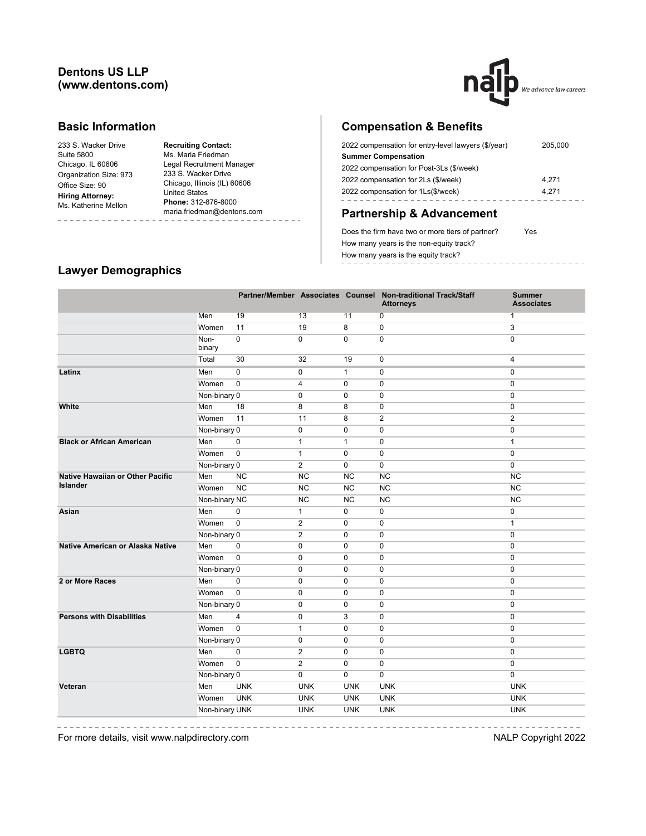# **Dentons US LLP (www.dentons.com)**



#### **Basic Information**

233 S. Wacker Drive Suite 5800 Chicago, IL 60606 Organization Size: 973 Office Size: 90 **Hiring Attorney:** Ms. Katherine Mellon

**Recruiting Contact:** Ms. Maria Friedman Legal Recruitment Manager 233 S. Wacker Drive Chicago, Illinois (IL) 60606 United States **Phone:** 312-876-8000 maria.friedman@dentons.com

# **Compensation & Benefits**

| 2022 compensation for entry-level lawyers (\$/year) | 205,000 |
|-----------------------------------------------------|---------|
| <b>Summer Compensation</b>                          |         |
| 2022 compensation for Post-3Ls (\$/week)            |         |
| 2022 compensation for 2Ls (\$/week)                 | 4.271   |
| 2022 compensation for 1Ls(\$/week)                  | 4.271   |
|                                                     |         |

# **Partnership & Advancement**

Does the firm have two or more tiers of partner? Yes How many years is the non-equity track? How many years is the equity track? ----------------

#### **Lawyer Demographics**

-------------

|                                  |                |             |                |              | Partner/Member Associates Counsel Non-traditional Track/Staff<br><b>Attorneys</b> | <b>Summer</b><br><b>Associates</b> |
|----------------------------------|----------------|-------------|----------------|--------------|-----------------------------------------------------------------------------------|------------------------------------|
|                                  | Men            | 19          | 13             | 11           | 0                                                                                 | $\mathbf{1}$                       |
|                                  | Women          | 11          | 19             | 8            | 0                                                                                 | 3                                  |
|                                  | Non-<br>binary | $\pmb{0}$   | $\mathsf 0$    | 0            | 0                                                                                 | $\mathbf 0$                        |
|                                  | Total          | 30          | 32             | 19           | 0                                                                                 | $\overline{4}$                     |
| Latinx                           | Men            | $\mathbf 0$ | $\pmb{0}$      | $\mathbf{1}$ | 0                                                                                 | $\mathbf 0$                        |
|                                  | Women          | $\mathbf 0$ | 4              | $\mathbf 0$  | $\mathbf 0$                                                                       | $\mathbf 0$                        |
|                                  | Non-binary 0   |             | $\mathbf 0$    | 0            | $\mathbf 0$                                                                       | $\mathbf 0$                        |
| White                            | Men            | 18          | 8              | 8            | $\mathbf 0$                                                                       | $\mathbf 0$                        |
|                                  | Women          | 11          | 11             | 8            | $\overline{2}$                                                                    | $\overline{2}$                     |
|                                  | Non-binary 0   |             | 0              | $\mathbf 0$  | 0                                                                                 | $\mathbf 0$                        |
| <b>Black or African American</b> | Men            | $\mathbf 0$ | $\mathbf{1}$   | $\mathbf{1}$ | 0                                                                                 | $\mathbf{1}$                       |
|                                  | Women          | $\mathbf 0$ | $\mathbf{1}$   | $\mathbf 0$  | $\mathbf 0$                                                                       | $\mathbf 0$                        |
|                                  | Non-binary 0   |             | $\overline{2}$ | $\Omega$     | $\mathbf 0$                                                                       | $\mathbf 0$                        |
| Native Hawaiian or Other Pacific | Men            | <b>NC</b>   | <b>NC</b>      | <b>NC</b>    | <b>NC</b>                                                                         | <b>NC</b>                          |
| <b>Islander</b>                  | Women          | NC          | <b>NC</b>      | <b>NC</b>    | NC                                                                                | NC                                 |
|                                  | Non-binary NC  |             | <b>NC</b>      | <b>NC</b>    | NC                                                                                | NC                                 |
| Asian                            | Men            | 0           | $\mathbf{1}$   | 0            | 0                                                                                 | $\mathbf 0$                        |
|                                  | Women          | $\mathbf 0$ | $\overline{2}$ | 0            | 0                                                                                 | $\mathbf{1}$                       |
|                                  | Non-binary 0   |             | $\overline{2}$ | 0            | 0                                                                                 | $\mathbf 0$                        |
| Native American or Alaska Native | Men            | 0           | 0              | 0            | 0                                                                                 | $\mathbf 0$                        |
|                                  | Women          | $\pmb{0}$   | 0              | 0            | 0                                                                                 | $\mathbf 0$                        |
|                                  | Non-binary 0   |             | 0              | 0            | 0                                                                                 | $\mathbf{0}$                       |
| 2 or More Races                  | Men            | $\mathbf 0$ | 0              | 0            | 0                                                                                 | $\mathbf{0}$                       |
|                                  | Women          | $\mathbf 0$ | 0              | 0            | 0                                                                                 | $\mathbf{0}$                       |
|                                  | Non-binary 0   |             | 0              | 0            | 0                                                                                 | $\mathbf 0$                        |
| <b>Persons with Disabilities</b> | Men            | 4           | 0              | 3            | 0                                                                                 | $\mathbf 0$                        |
|                                  | Women          | $\mathbf 0$ | $\mathbf{1}$   | 0            | 0                                                                                 | $\mathbf 0$                        |
|                                  | Non-binary 0   |             | 0              | 0            | 0                                                                                 | $\mathbf 0$                        |
| <b>LGBTQ</b>                     | Men            | $\mathbf 0$ | $\overline{2}$ | 0            | 0                                                                                 | $\mathbf{0}$                       |
|                                  | Women          | $\mathbf 0$ | $\overline{2}$ | $\mathbf 0$  | 0                                                                                 | $\mathbf{0}$                       |
|                                  | Non-binary 0   |             | 0              | 0            | $\mathbf 0$                                                                       | $\mathbf{0}$                       |
| Veteran                          | Men            | <b>UNK</b>  | <b>UNK</b>     | <b>UNK</b>   | <b>UNK</b>                                                                        | <b>UNK</b>                         |
|                                  | Women          | <b>UNK</b>  | <b>UNK</b>     | <b>UNK</b>   | <b>UNK</b>                                                                        | <b>UNK</b>                         |
|                                  | Non-binary UNK |             | <b>UNK</b>     | <b>UNK</b>   | <b>UNK</b>                                                                        | <b>UNK</b>                         |
|                                  |                |             |                |              |                                                                                   |                                    |

For more details, visit www.nalpdirectory.com NALP Copyright 2022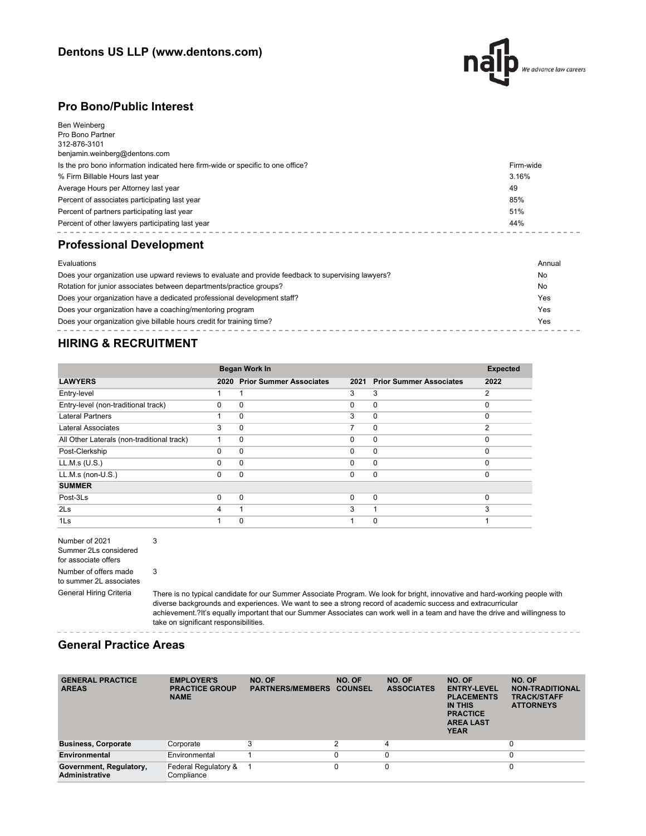

#### **Pro Bono/Public Interest**

| Ben Weinberg<br>Pro Bono Partner<br>312-876-3101<br>benjamin.weinberg@dentons.com |           |
|-----------------------------------------------------------------------------------|-----------|
| Is the pro bono information indicated here firm-wide or specific to one office?   | Firm-wide |
| % Firm Billable Hours last year                                                   | 3.16%     |
| Average Hours per Attorney last year                                              | 49        |
| Percent of associates participating last year                                     | 85%       |
| Percent of partners participating last year                                       | 51%       |
| Percent of other lawyers participating last year                                  | 44%       |
| <b>Professional Development</b>                                                   |           |
| Evaluations                                                                       | Annual    |

| Does your organization use upward reviews to evaluate and provide feedback to supervising lawyers? | No  |
|----------------------------------------------------------------------------------------------------|-----|
| Rotation for junior associates between departments/practice groups?                                | No  |
| Does your organization have a dedicated professional development staff?                            | Yes |
| Does your organization have a coaching/mentoring program                                           | Yes |
| Does your organization give billable hours credit for training time?                               | Yes |

# **HIRING & RECRUITMENT**

|                                            |          | Began Work In                  |          |                                | <b>Expected</b> |
|--------------------------------------------|----------|--------------------------------|----------|--------------------------------|-----------------|
| <b>LAWYERS</b>                             | 2020     | <b>Prior Summer Associates</b> | 2021     | <b>Prior Summer Associates</b> | 2022            |
| Entry-level                                |          | 1                              | 3        | 3                              | $\overline{2}$  |
| Entry-level (non-traditional track)        | $\Omega$ | $\Omega$                       | $\Omega$ | $\mathbf 0$                    | $\Omega$        |
| <b>Lateral Partners</b>                    | 1        | $\Omega$                       | 3        | $\mathbf 0$                    | $\Omega$        |
| <b>Lateral Associates</b>                  | 3        | $\Omega$                       | 7        | $\mathbf 0$                    | 2               |
| All Other Laterals (non-traditional track) |          | 0                              | $\Omega$ | $\mathbf 0$                    | $\Omega$        |
| Post-Clerkship                             | $\Omega$ | 0                              | $\Omega$ | $\mathbf 0$                    | $\Omega$        |
| LL.M.s (U.S.)                              | $\Omega$ | $\Omega$                       | $\Omega$ | $\mathbf 0$                    | $\Omega$        |
| $LL.M.s$ (non- $U.S.$ )                    | $\Omega$ | $\Omega$                       | $\Omega$ | $\mathbf 0$                    | $\Omega$        |
| <b>SUMMER</b>                              |          |                                |          |                                |                 |
| Post-3Ls                                   | $\Omega$ | $\Omega$                       | 0        | $\mathbf 0$                    | $\Omega$        |
| 2Ls                                        | 4        |                                | 3        |                                | 3               |
| 1Ls                                        |          | 0                              |          | 0                              |                 |

Number of 2021 Summer 2Ls considered for associate offers Number of offers made to summer 2L associates

General Hiring Criteria There is no typical candidate for our Summer Associate Program. We look for bright, innovative and hard-working people with diverse backgrounds and experiences. We want to see a strong record of academic success and extracurricular achievement.?It's equally important that our Summer Associates can work well in a team and have the drive and willingness to take on significant responsibilities.

 $- - - - -$ 

#### **General Practice Areas**

3

3

 $- - - -$ 

 $- - - - - - - -$ 

| <b>GENERAL PRACTICE</b><br><b>AREAS</b>          | <b>EMPLOYER'S</b><br><b>PRACTICE GROUP</b><br><b>NAME</b> | NO. OF<br><b>PARTNERS/MEMBERS</b> | NO. OF<br><b>COUNSEL</b> | NO. OF<br><b>ASSOCIATES</b> | NO. OF<br><b>ENTRY-LEVEL</b><br><b>PLACEMENTS</b><br>IN THIS<br><b>PRACTICE</b><br><b>AREA LAST</b><br><b>YEAR</b> | NO. OF<br><b>NON-TRADITIONAL</b><br><b>TRACK/STAFF</b><br><b>ATTORNEYS</b> |
|--------------------------------------------------|-----------------------------------------------------------|-----------------------------------|--------------------------|-----------------------------|--------------------------------------------------------------------------------------------------------------------|----------------------------------------------------------------------------|
| <b>Business, Corporate</b>                       | Corporate                                                 |                                   | $\overline{2}$           | 4                           |                                                                                                                    | 0                                                                          |
| Environmental                                    | Environmental                                             |                                   |                          | $\Omega$                    |                                                                                                                    | 0                                                                          |
| Government, Regulatory,<br><b>Administrative</b> | Federal Regulatory &<br>Compliance                        |                                   |                          | 0                           |                                                                                                                    | 0                                                                          |